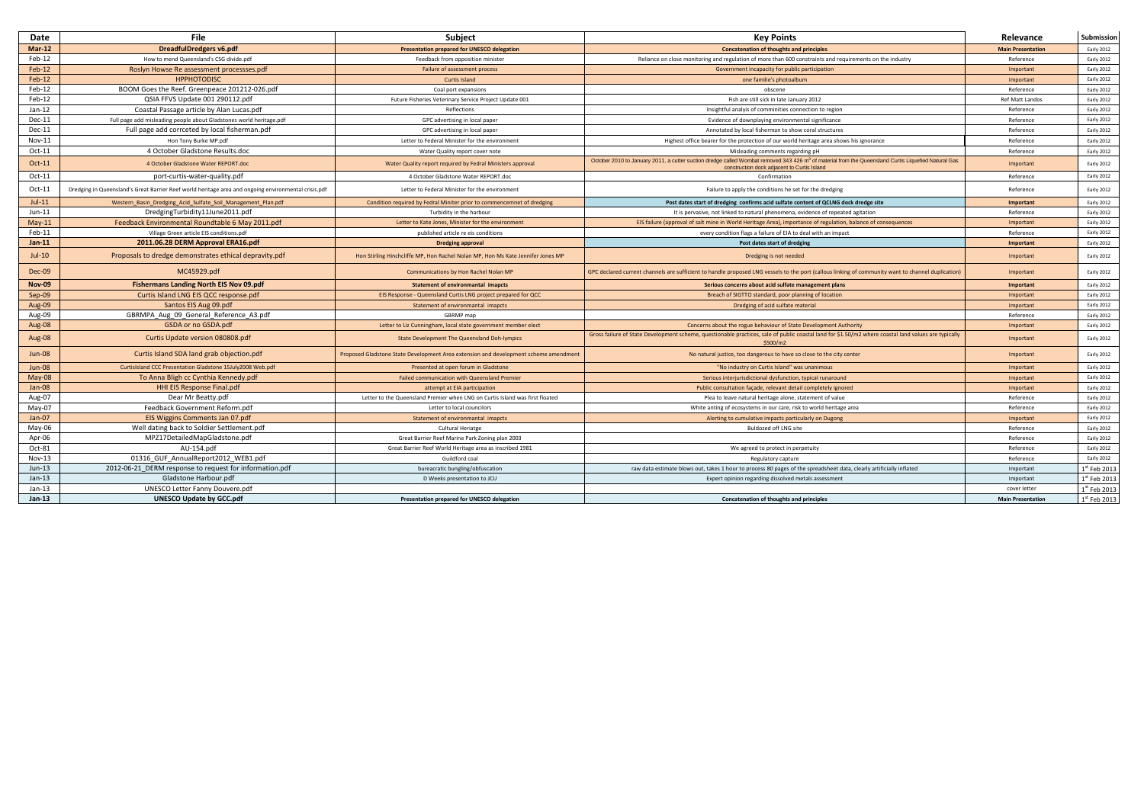| Date          | File                                                                                                 | <b>Subject</b>                                                                      | <b>Key Points</b>                                                                                                                                                                                              | Relevance                | Submission        |
|---------------|------------------------------------------------------------------------------------------------------|-------------------------------------------------------------------------------------|----------------------------------------------------------------------------------------------------------------------------------------------------------------------------------------------------------------|--------------------------|-------------------|
| $Mar-12$      | <b>DreadfulDredgers v6.pdf</b>                                                                       | Presentation prepared for UNESCO delegation                                         | <b>Concatenation of thoughts and principles</b>                                                                                                                                                                | <b>Main Presentation</b> | <b>Early 2012</b> |
| Feb-12        | How to mend Queensland's CSG divide.odf                                                              | Feedback from opposition minister                                                   | Reliance on close monitoring and regulation of more than 600 constraints and requirements on the industry                                                                                                      | Reference                | Early 2012        |
| $Feb-12$      | Roslyn Howse Re assessment processses.pdf                                                            | Failure of assessment process                                                       | Government incapacity for public participation                                                                                                                                                                 | Important                | Early 2012        |
| $Feb-12$      | <b>HPPHOTODISC</b>                                                                                   | Curtis Island                                                                       | one familie's photoalbum                                                                                                                                                                                       | Important                | Early 2012        |
| Feb-12        | BOOM Goes the Reef. Greenpeace 201212-026.pdf                                                        | Coal port expansions                                                                | obscene                                                                                                                                                                                                        | Reference                | Early 2012        |
| Feb-12        | QSIA FFVS Update 001 290112.pdf                                                                      | Future Fisheries Veterinary Service Project Update 001                              | Fish are still sick in late January 2012                                                                                                                                                                       | <b>Ref Matt Landos</b>   | Early 2012        |
| $Jan-12$      | Coastal Passage article by Alan Lucas.pdf                                                            | Reflections                                                                         | Insightful analyis of comminities connection to region                                                                                                                                                         | Reference                | Early 2012        |
| Dec-11        | Full page add misleading people about Gladstones world heritage.pdf                                  | GPC advertising in local paper                                                      | Evidence of downplaying environmental significance                                                                                                                                                             | Reference                | Early 2012        |
| $Dec-11$      | Full page add corrceted by local fisherman.pdf                                                       | GPC advertising in local paper                                                      | Annotated by local fisherman to show coral structures                                                                                                                                                          | Reference                | Early 2012        |
| $Nov-11$      | Hon Tony Burke MP.pdf                                                                                | Letter to Federal Minister for the environment                                      | Highest office bearer for the protection of our world heritage area shows his ignorance                                                                                                                        | Reference                | Early 2012        |
| $Oct-11$      | 4 October Gladstone Results.doc                                                                      | Water Quality report cover note                                                     | Misleading comments regarding pH                                                                                                                                                                               | Reference                | Early 2012        |
| Oct-11        | 4 October Gladstone Water REPORT.doc                                                                 | Water Quality report required by Fedral Ministers approval                          | October 2010 to January 2011, a cutter suction dredge called Wombat removed 343 426 m <sup>3</sup> of material from the Queensland Curtis Liquefied Natural Gas<br>construction dock adiacent to Curtis Island | Important                | Early 2012        |
| $Oct-11$      | port-curtis-water-quality.pdf                                                                        | 4 October Gladstone Water REPORT.doc                                                | Confirmation                                                                                                                                                                                                   | Reference                | Early 2012        |
| Oct-11        | Dredging in Queensland's Great Barrier Reef world heritage area and ongoing environmental crisis.pdf | Letter to Federal Minister for the environment                                      | Failure to apply the conditions he set for the dredging                                                                                                                                                        | Reference                | Early 2012        |
| $Jul-11$      | Western_Basin_Dredging_Acid_Sulfate_Soil_Management_Plan.pdf                                         | Condition required by Fedral Miniter prior to commencemnet of dredging              | Post dates start of dredging confirms acid sulfate content of QCLNG dock dredge site                                                                                                                           | Important                | Early 2012        |
| $Jun-11$      | DredgingTurbidity11June2011.pdf                                                                      | Turbidity in the harbour                                                            | It is pervasive, not linked to natural phenomena, evidence of repeated agitation                                                                                                                               | Reference                | Early 2012        |
| $May-11$      | Feedback Environmental Roundtable 6 May 2011.pdf                                                     | Letter to Kate Jones, Minister for the environment                                  | EIS failure (approval of salt mine in World Heritage Area), importance of regulation, balance of consequences                                                                                                  | Important                | Early 2012        |
| Feb-11        | Village Green article EIS conditions.pdf                                                             | published article re eis conditions                                                 | every condition flags a failure of EIA to deal with an impact                                                                                                                                                  | Reference                | Early 2012        |
| $Jan-11$      | 2011.06.28 DERM Approval ERA16.pdf                                                                   | <b>Dredging approval</b>                                                            | Post dates start of dredging                                                                                                                                                                                   | Important                | Early 2012        |
| $Jul-10$      | Proposals to dredge demonstrates ethical depravity.pdf                                               | Hon Stirling Hinchcliffe MP, Hon Rachel Nolan MP, Hon Ms Kate Jennifer Jones MP     | Dredging is not needed                                                                                                                                                                                         | Important                | Early 2012        |
| Dec-09        | MC45929.pdf                                                                                          | Communications by Hon Rachel Nolan MP                                               | GPC declared current channels are sufficient to handle proposed LNG vessels to the port (callous linking of community want to channel duplication)                                                             | Important                | Early 2012        |
| <b>Nov-09</b> | <b>Fishermans Landing North EIS Nov 09.pdf</b>                                                       | <b>Statement of environmantal imapcts</b>                                           | Serious concerns about acid sulfate management plans                                                                                                                                                           | Important                | Early 2012        |
| $Sep-09$      | Curtis Island LNG EIS QCC response.pdf                                                               | EIS Response - Queensland Curtis LNG project prepared for QCC                       | Breach of SIGTTO standard, poor planning of location                                                                                                                                                           | Important                | Early 2012        |
| Aug-09        | Santos EIS Aug 09.pdf                                                                                | Statement of environmantal imapcts                                                  | Dredging of acid sulfate material                                                                                                                                                                              | Important                | Early 2012        |
| Aug-09        | GBRMPA Aug 09 General Reference A3.pdf                                                               | GBRMP map                                                                           |                                                                                                                                                                                                                | Reference                | <b>Early 2012</b> |
| Aug-08        | GSDA or no GSDA.pdf                                                                                  | Letter to Liz Cunningham, local state government member elect                       | Concerns about the rogue behaviour of State Development Authority                                                                                                                                              | Important                | Early 2012        |
| Aug-08        | Curtis Update version 080808.pdf                                                                     | State Development The Queensland Doh-lympics                                        | Gross failure of State Development scheme, questionable practices, sale of public coastal land for \$1.50/m2 where coastal land values are typically<br>\$500/m2                                               | Important                | Early 2012        |
| <b>Jun-08</b> | Curtis Island SDA land grab objection.pdf                                                            | Proposed Gladstone State Development Area extension and development scheme amendmen | No natural justice, too dangerous to have so close to the city center                                                                                                                                          | Important                | Early 2012        |
| $Jun-08$      | CurtisIsland CCC Presentation Gladstone 15July2008 Web.pdf                                           | Presented at open forum in Gladstone                                                | "No industry on Curtis Island" was unanimous                                                                                                                                                                   | Important                | Early 2012        |
| $May-08$      | To Anna Bligh cc Cynthia Kennedy.pdf                                                                 | Failed communication with Queensland Premier                                        | Serious interjurisdictional dysfunction, typical runaround                                                                                                                                                     | Important                | Early 2012        |
| $Jan-08$      | HHI EIS Response Final.pdf                                                                           | attempt at EIA participation                                                        | Public consultation façade, relevant detail completely ignored                                                                                                                                                 | Important                | Early 2012        |
| Aug-07        | Dear Mr Beatty.pdf                                                                                   | Letter to the Queensland Premier when LNG on Curtis Island was first floated        | Plea to leave natural heritage alone, statement of value                                                                                                                                                       | Reference                | Early 2012        |
| May-07        | Feedback Government Reform.pdf                                                                       | Letter to local councilors                                                          | White anting of ecosystems in our care, risk to world heritage area                                                                                                                                            | Reference                | Early 2012        |
| $Jan-07$      | EIS Wiggins Comments Jan 07.pdf                                                                      | Statement of environmantal imapcts                                                  | Alerting to cumulative impacts particularly on Dugong                                                                                                                                                          | Important                | Early 2012        |
| May-06        | Well dating back to Soldier Settlement.pdf                                                           | <b>Cultural Heriatge</b>                                                            | <b>Buldozed off LNG site</b>                                                                                                                                                                                   | Reference                | Early 2012        |
| Apr-06        | MPZ17DetailedMapGladstone.pdf                                                                        | Great Barrier Reef Marine Park Zoning plan 2003                                     |                                                                                                                                                                                                                | Reference                | Early 2012        |
| Oct-81        | AU-154.pdf                                                                                           | Great Barrier Reef World Heritage area as inscribed 1981                            | We agreed to protect in perpetuity                                                                                                                                                                             | Reference                | Early 2012        |
| Nov-13        | 01316_GUF_AnnualReport2012_WEB1.pdf                                                                  | Guildford coal                                                                      | Regulatory capture                                                                                                                                                                                             | Reference                | Early 2012        |
| $Jun-13$      | 2012-06-21 DERM response to request for information.pdf                                              | bureacratic bungling/obfuscation                                                    | raw data estimate blows out, takes 1 hour to process 80 pages of the spreadsheet data, clearly artificially inflated                                                                                           | Important                | 1st Feb 2013      |
| $Jan-13$      | Gladstone Harbour.pdf                                                                                | D Weeks presentation to JCU                                                         | Expert opinion regarding dissolved metals assessment                                                                                                                                                           | Important                | 1st Feb 2013      |
| $Jan-13$      | UNESCO Letter Fanny Douvere.pdf                                                                      |                                                                                     |                                                                                                                                                                                                                | cover letter             | 1st Feb 2013      |
| $Jan-13$      | <b>UNESCO Update by GCC.pdf</b>                                                                      | Presentation prepared for UNESCO delegation                                         | <b>Concatenation of thoughts and principles</b>                                                                                                                                                                | <b>Main Presentation</b> | $1st$ Feb 2013    |